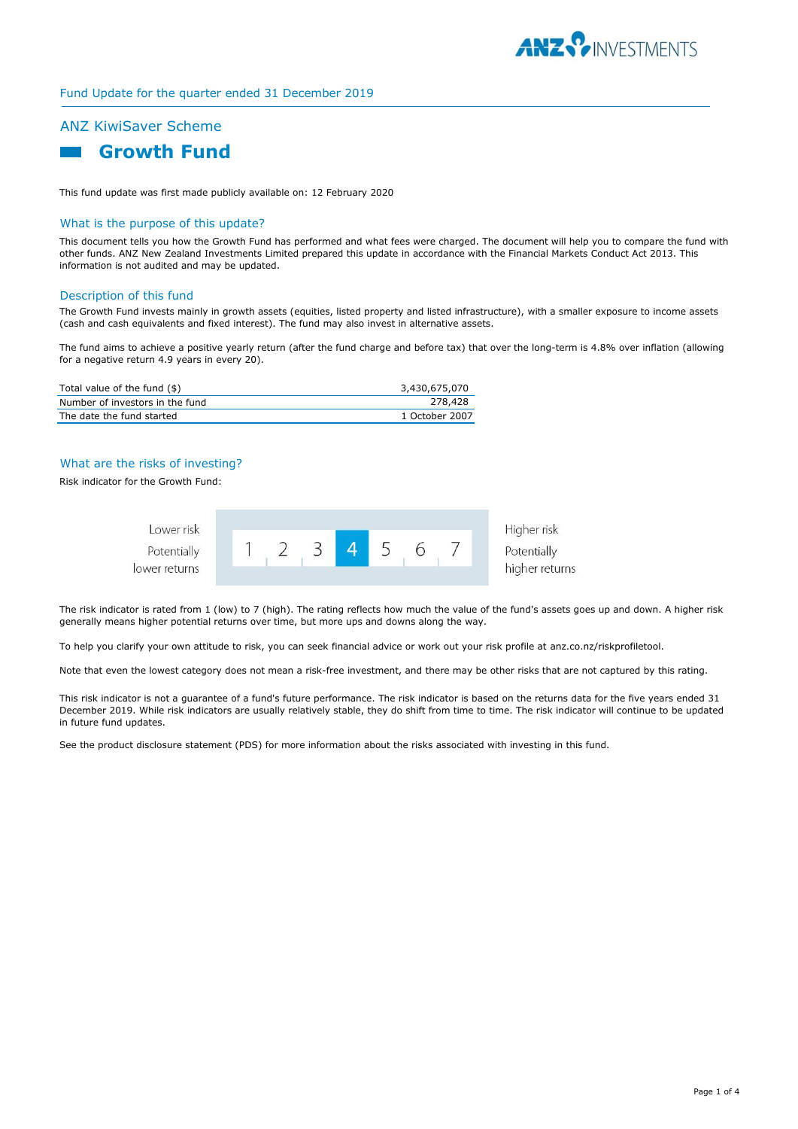

## Fund Update for the quarter ended 31 December 2019

# ANZ KiwiSaver Scheme



This fund update was first made publicly available on: 12 February 2020

## What is the purpose of this update?

This document tells you how the Growth Fund has performed and what fees were charged. The document will help you to compare the fund with other funds. ANZ New Zealand Investments Limited prepared this update in accordance with the Financial Markets Conduct Act 2013. This information is not audited and may be updated.

#### Description of this fund

The Growth Fund invests mainly in growth assets (equities, listed property and listed infrastructure), with a smaller exposure to income assets (cash and cash equivalents and fixed interest). The fund may also invest in alternative assets.

The fund aims to achieve a positive yearly return (after the fund charge and before tax) that over the long-term is 4.8% over inflation (allowing for a negative return 4.9 years in every 20).

| Total value of the fund (\$)    | 3,430,675,070  |
|---------------------------------|----------------|
| Number of investors in the fund | 278,428        |
| The date the fund started       | 1 October 2007 |

## What are the risks of investing?

Risk indicator for the Growth Fund:



The risk indicator is rated from 1 (low) to 7 (high). The rating reflects how much the value of the fund's assets goes up and down. A higher risk generally means higher potential returns over time, but more ups and downs along the way.

To help you clarify your own attitude to risk, you can seek financial advice or work out your risk profile at anz.co.nz/riskprofiletool.

Note that even the lowest category does not mean a risk-free investment, and there may be other risks that are not captured by this rating.

This risk indicator is not a guarantee of a fund's future performance. The risk indicator is based on the returns data for the five years ended 31 December 2019. While risk indicators are usually relatively stable, they do shift from time to time. The risk indicator will continue to be updated in future fund updates.

See the product disclosure statement (PDS) for more information about the risks associated with investing in this fund.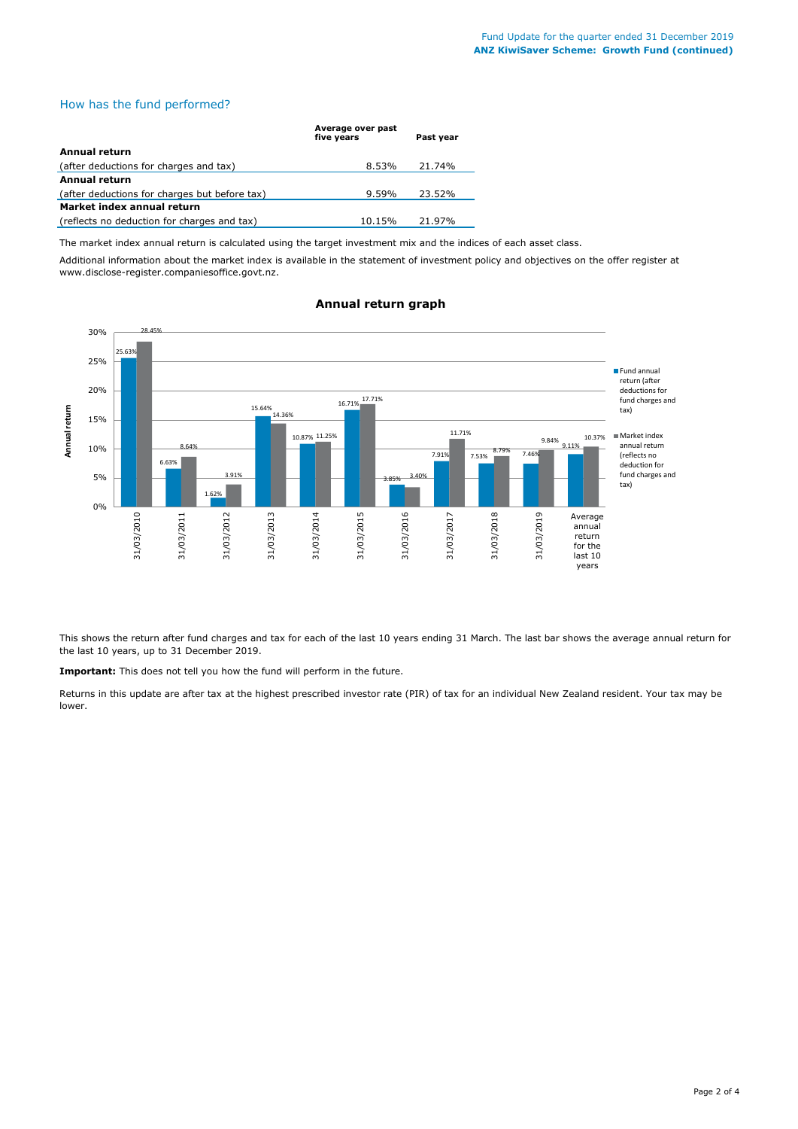## How has the fund performed?

|                                               | Average over past<br>five vears | Past vear |
|-----------------------------------------------|---------------------------------|-----------|
| Annual return                                 |                                 |           |
| (after deductions for charges and tax)        | 8.53%                           | 21.74%    |
| Annual return                                 |                                 |           |
| (after deductions for charges but before tax) | $9.59\%$                        | 23.52%    |
| Market index annual return                    |                                 |           |
| (reflects no deduction for charges and tax)   | 10.15%                          | 21.97%    |

The market index annual return is calculated using the target investment mix and the indices of each asset class.

Additional information about the market index is available in the statement of investment policy and objectives on the offer register at www.disclose-register.companiesoffice.govt.nz.



## **Annual return graph**

This shows the return after fund charges and tax for each of the last 10 years ending 31 March. The last bar shows the average annual return for the last 10 years, up to 31 December 2019.

**Important:** This does not tell you how the fund will perform in the future.

Returns in this update are after tax at the highest prescribed investor rate (PIR) of tax for an individual New Zealand resident. Your tax may be lower.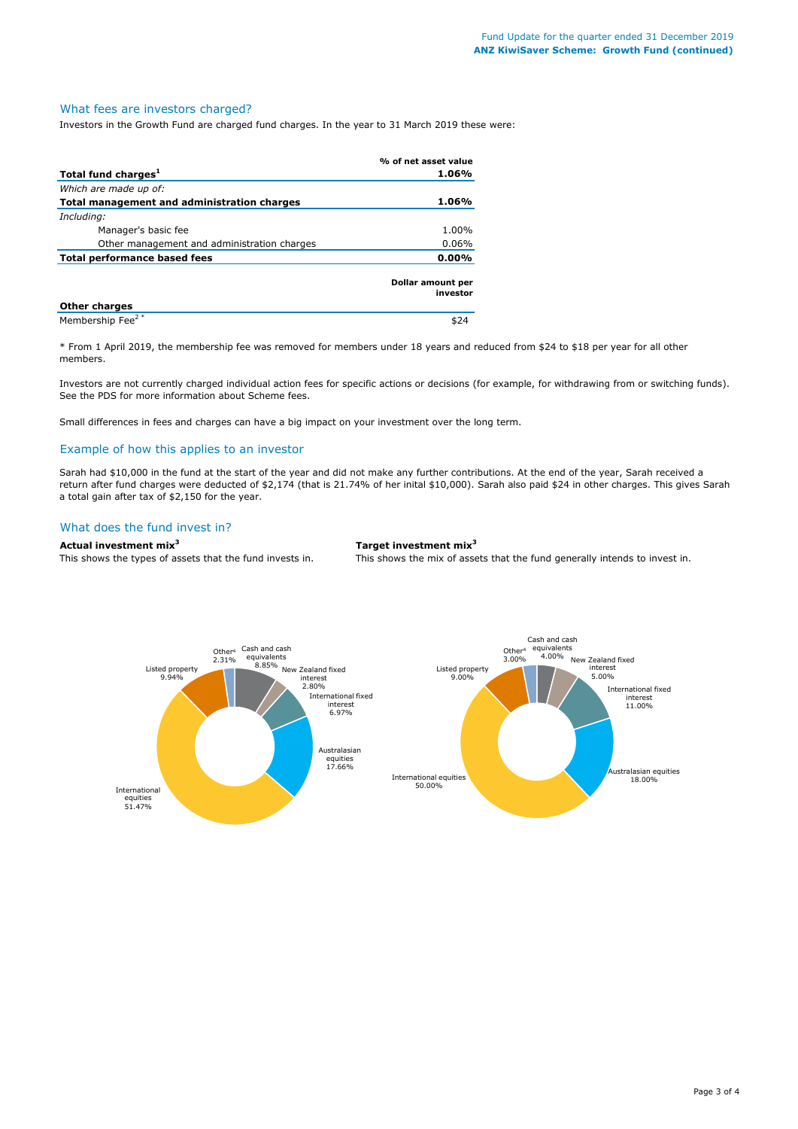#### What fees are investors charged?

Investors in the Growth Fund are charged fund charges. In the year to 31 March 2019 these were:

|                                             | % of net asset value          |
|---------------------------------------------|-------------------------------|
| Total fund charges <sup>1</sup>             | 1.06%                         |
| Which are made up of:                       |                               |
| Total management and administration charges | 1.06%                         |
| Including:                                  |                               |
| Manager's basic fee                         | 1.00%                         |
| Other management and administration charges | $0.06\%$                      |
| Total performance based fees                | $0.00\%$                      |
|                                             | Dollar amount per<br>investor |
| <b>Other charges</b>                        |                               |
| Membership Fee <sup>2*</sup>                | \$24                          |

\* From 1 April 2019, the membership fee was removed for members under 18 years and reduced from \$24 to \$18 per year for all other members.

Investors are not currently charged individual action fees for specific actions or decisions (for example, for withdrawing from or switching funds). See the PDS for more information about Scheme fees.

Small differences in fees and charges can have a big impact on your investment over the long term.

## Example of how this applies to an investor

Sarah had \$10,000 in the fund at the start of the year and did not make any further contributions. At the end of the year, Sarah received a return after fund charges were deducted of \$2,174 (that is 21.74% of her inital \$10,000). Sarah also paid \$24 in other charges. This gives Sarah a total gain after tax of \$2,150 for the year.

## What does the fund invest in?

### **Actual investment mix<sup>3</sup> Target investment mix<sup>3</sup>**

This shows the types of assets that the fund invests in. This shows the mix of assets that the fund generally intends to invest in.